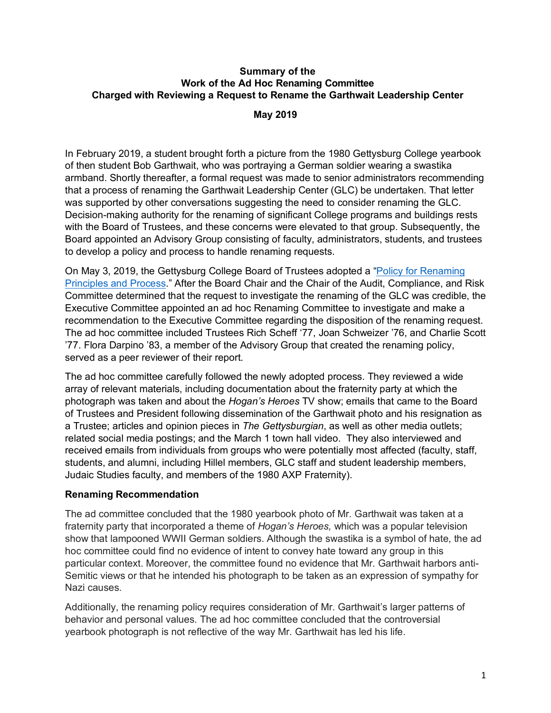## **Summary of the Work of the Ad Hoc Renaming Committee Charged with Reviewing a Request to Rename the Garthwait Leadership Center**

## **May 2019**

 In February 2019, a student brought forth a picture from the 1980 Gettysburg College yearbook of then student Bob Garthwait, who was portraying a German soldier wearing a swastika armband. Shortly thereafter, a formal request was made to senior administrators recommending that a process of renaming the Garthwait Leadership Center (GLC) be undertaken. That letter was supported by other conversations suggesting the need to consider renaming the GLC. Decision-making authority for the renaming of significant College programs and buildings rests with the Board of Trustees, and these concerns were elevated to that group. Subsequently, the Board appointed an Advisory Group consisting of faculty, administrators, students, and trustees to develop a policy and process to handle renaming requests.

On May 3, 2019, the Gettysburg College Board of Trustees adopted a "Policy for Renaming Principles and Process." After the Board Chair and the Chair of the Audit, Compliance, and Risk Committee determined that the request to investigate the renaming of the GLC was credible, the Executive Committee appointed an ad hoc Renaming Committee to investigate and make a recommendation to the Executive Committee regarding the disposition of the renaming request. The ad hoc committee included Trustees Rich Scheff '77, Joan Schweizer '76, and Charlie Scott '77. Flora Darpino '83, a member of the Advisory Group that created the renaming policy, served as a peer reviewer of their report.

 The ad hoc committee carefully followed the newly adopted process. They reviewed a wide array of relevant materials, including documentation about the fraternity party at which the photograph was taken and about the *Hogan's Heroes* TV show; emails that came to the Board of Trustees and President following dissemination of the Garthwait photo and his resignation as a Trustee; articles and opinion pieces in *The Gettysburgian*, as well as other media outlets; related social media postings; and the March 1 town hall video. They also interviewed and received emails from individuals from groups who were potentially most affected (faculty, staff, students, and alumni, including Hillel members, GLC staff and student leadership members, Judaic Studies faculty, and members of the 1980 AXP Fraternity).

## **Renaming Recommendation**

 The ad committee concluded that the 1980 yearbook photo of Mr. Garthwait was taken at a fraternity party that incorporated a theme of *Hogan's Heroes,* which was a popular television show that lampooned WWII German soldiers. Although the swastika is a symbol of hate, the ad hoc committee could find no evidence of intent to convey hate toward any group in this particular context. Moreover, the committee found no evidence that Mr. Garthwait harbors anti- Semitic views or that he intended his photograph to be taken as an expression of sympathy for Nazi causes.

 Additionally, the renaming policy requires consideration of Mr. Garthwait's larger patterns of behavior and personal values. The ad hoc committee concluded that the controversial yearbook photograph is not reflective of the way Mr. Garthwait has led his life.